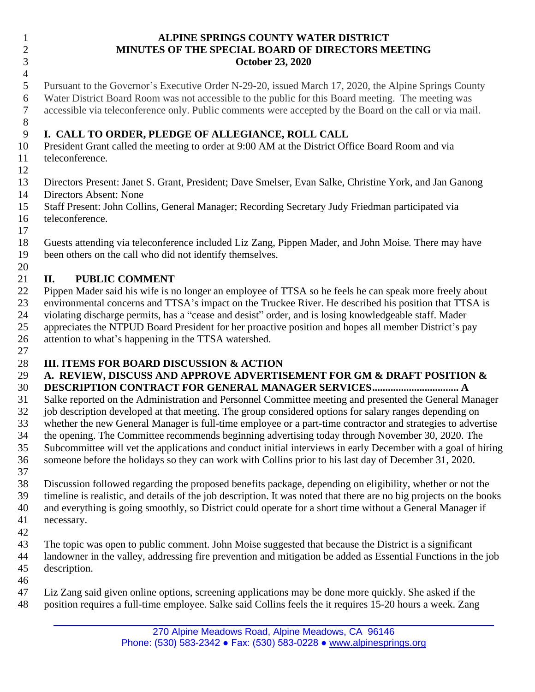#### **ALPINE SPRINGS COUNTY WATER DISTRICT MINUTES OF THE SPECIAL BOARD OF DIRECTORS MEETING October 23, 2020**

 Pursuant to the Governor's Executive Order N-29-20, issued March 17, 2020, the Alpine Springs County Water District Board Room was not accessible to the public for this Board meeting. The meeting was accessible via teleconference only. Public comments were accepted by the Board on the call or via mail.

#### **I. CALL TO ORDER, PLEDGE OF ALLEGIANCE, ROLL CALL**

 President Grant called the meeting to order at 9:00 AM at the District Office Board Room and via teleconference.

 Directors Present: Janet S. Grant, President; Dave Smelser, Evan Salke, Christine York, and Jan Ganong Directors Absent: None

 Staff Present: John Collins, General Manager; Recording Secretary Judy Friedman participated via teleconference.

 Guests attending via teleconference included Liz Zang, Pippen Mader, and John Moise*.* There may have been others on the call who did not identify themselves.

## 

## **II. PUBLIC COMMENT**

 Pippen Mader said his wife is no longer an employee of TTSA so he feels he can speak more freely about environmental concerns and TTSA's impact on the Truckee River. He described his position that TTSA is violating discharge permits, has a "cease and desist" order, and is losing knowledgeable staff. Mader appreciates the NTPUD Board President for her proactive position and hopes all member District's pay attention to what's happening in the TTSA watershed.

### **III. ITEMS FOR BOARD DISCUSSION & ACTION**

# **A. REVIEW, DISCUSS AND APPROVE ADVERTISEMENT FOR GM & DRAFT POSITION &**

**DESCRIPTION CONTRACT FOR GENERAL MANAGER SERVICES................................. A**

 Salke reported on the Administration and Personnel Committee meeting and presented the General Manager job description developed at that meeting. The group considered options for salary ranges depending on whether the new General Manager is full-time employee or a part-time contractor and strategies to advertise the opening. The Committee recommends beginning advertising today through November 30, 2020. The Subcommittee will vet the applications and conduct initial interviews in early December with a goal of hiring someone before the holidays so they can work with Collins prior to his last day of December 31, 2020.

 Discussion followed regarding the proposed benefits package, depending on eligibility, whether or not the timeline is realistic, and details of the job description. It was noted that there are no big projects on the books and everything is going smoothly, so District could operate for a short time without a General Manager if necessary.

 The topic was open to public comment. John Moise suggested that because the District is a significant landowner in the valley, addressing fire prevention and mitigation be added as Essential Functions in the job description. 

 Liz Zang said given online options, screening applications may be done more quickly. She asked if the position requires a full-time employee. Salke said Collins feels the it requires 15-20 hours a week. Zang